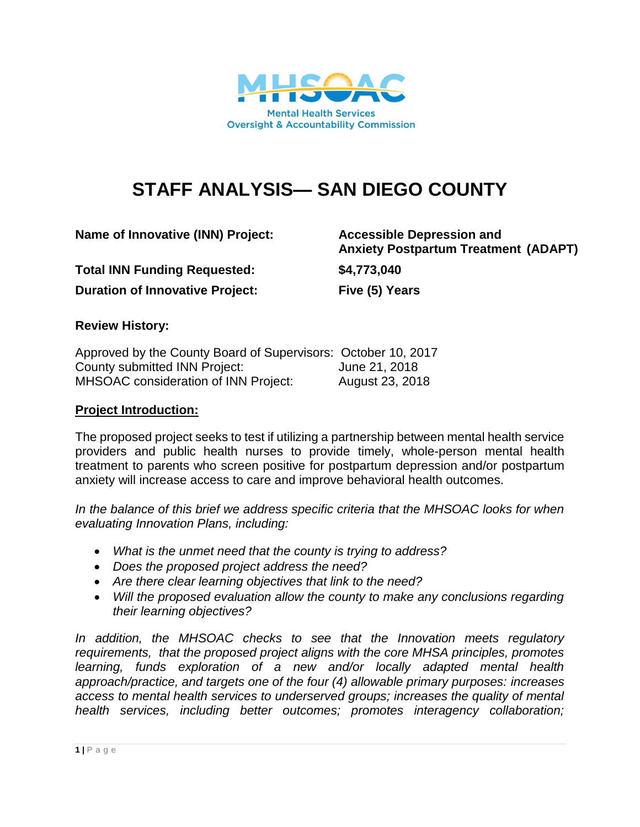

# **STAFF ANALYSIS— SAN DIEGO COUNTY**

**Name of Innovative (INN) Project: Accessible Depression and** 

**Total INN Funding Requested: \$4,773,040 Duration of Innovative Project: Five (5) Years**

**Anxiety Postpartum Treatment (ADAPT)**

#### **Review History:**

| Approved by the County Board of Supervisors: October 10, 2017 |                 |
|---------------------------------------------------------------|-----------------|
| County submitted INN Project:                                 | June 21, 2018   |
| <b>MHSOAC</b> consideration of INN Project:                   | August 23, 2018 |

#### **Project Introduction:**

The proposed project seeks to test if utilizing a partnership between mental health service providers and public health nurses to provide timely, whole-person mental health treatment to parents who screen positive for postpartum depression and/or postpartum anxiety will increase access to care and improve behavioral health outcomes.

*In the balance of this brief we address specific criteria that the MHSOAC looks for when evaluating Innovation Plans, including:* 

- *What is the unmet need that the county is trying to address?*
- *Does the proposed project address the need?*
- *Are there clear learning objectives that link to the need?*
- *Will the proposed evaluation allow the county to make any conclusions regarding their learning objectives?*

In addition, the MHSOAC checks to see that the Innovation meets regulatory *requirements, that the proposed project aligns with the core MHSA principles, promotes learning, funds exploration of a new and/or locally adapted mental health approach/practice, and targets one of the four (4) allowable primary purposes: increases access to mental health services to underserved groups; increases the quality of mental health services, including better outcomes; promotes interagency collaboration;*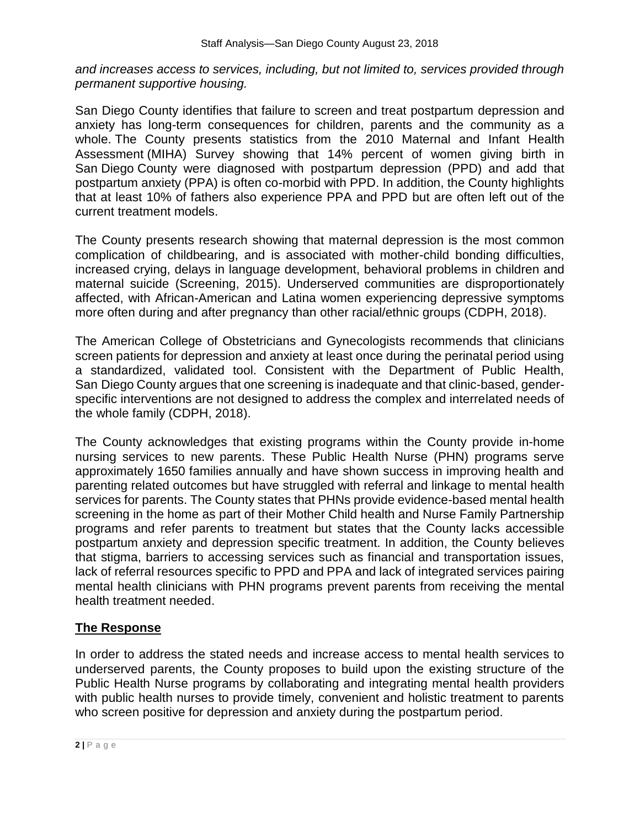*and increases access to services, including, but not limited to, services provided through permanent supportive housing.*

San Diego County identifies that failure to screen and treat postpartum depression and anxiety has long-term consequences for children, parents and the community as a whole. The County presents statistics from the 2010 Maternal and Infant Health Assessment (MIHA) Survey showing that 14% percent of women giving birth in San Diego County were diagnosed with postpartum depression (PPD) and add that postpartum anxiety (PPA) is often co-morbid with PPD. In addition, the County highlights that at least 10% of fathers also experience PPA and PPD but are often left out of the current treatment models.

The County presents research showing that maternal depression is the most common complication of childbearing, and is associated with mother-child bonding difficulties, increased crying, delays in language development, behavioral problems in children and maternal suicide (Screening, 2015). Underserved communities are disproportionately affected, with African-American and Latina women experiencing depressive symptoms more often during and after pregnancy than other racial/ethnic groups (CDPH, 2018).

The American College of Obstetricians and Gynecologists recommends that clinicians screen patients for depression and anxiety at least once during the perinatal period using a standardized, validated tool. Consistent with the Department of Public Health, San Diego County argues that one screening is inadequate and that clinic-based, genderspecific interventions are not designed to address the complex and interrelated needs of the whole family (CDPH, 2018).

The County acknowledges that existing programs within the County provide in-home nursing services to new parents. These Public Health Nurse (PHN) programs serve approximately 1650 families annually and have shown success in improving health and parenting related outcomes but have struggled with referral and linkage to mental health services for parents. The County states that PHNs provide evidence-based mental health screening in the home as part of their Mother Child health and Nurse Family Partnership programs and refer parents to treatment but states that the County lacks accessible postpartum anxiety and depression specific treatment. In addition, the County believes that stigma, barriers to accessing services such as financial and transportation issues, lack of referral resources specific to PPD and PPA and lack of integrated services pairing mental health clinicians with PHN programs prevent parents from receiving the mental health treatment needed.

## **The Response**

In order to address the stated needs and increase access to mental health services to underserved parents, the County proposes to build upon the existing structure of the Public Health Nurse programs by collaborating and integrating mental health providers with public health nurses to provide timely, convenient and holistic treatment to parents who screen positive for depression and anxiety during the postpartum period.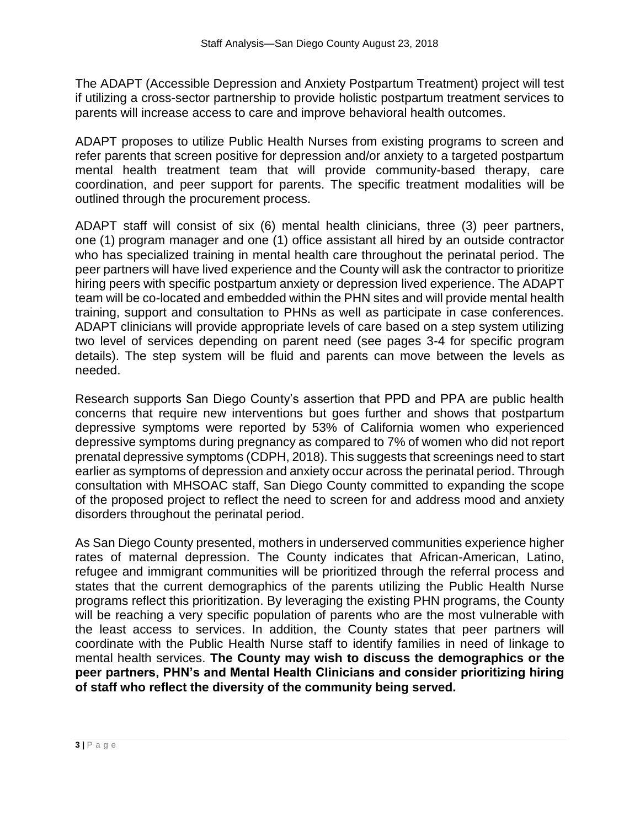The ADAPT (Accessible Depression and Anxiety Postpartum Treatment) project will test if utilizing a cross-sector partnership to provide holistic postpartum treatment services to parents will increase access to care and improve behavioral health outcomes.

ADAPT proposes to utilize Public Health Nurses from existing programs to screen and refer parents that screen positive for depression and/or anxiety to a targeted postpartum mental health treatment team that will provide community-based therapy, care coordination, and peer support for parents. The specific treatment modalities will be outlined through the procurement process.

ADAPT staff will consist of six (6) mental health clinicians, three (3) peer partners, one (1) program manager and one (1) office assistant all hired by an outside contractor who has specialized training in mental health care throughout the perinatal period. The peer partners will have lived experience and the County will ask the contractor to prioritize hiring peers with specific postpartum anxiety or depression lived experience. The ADAPT team will be co-located and embedded within the PHN sites and will provide mental health training, support and consultation to PHNs as well as participate in case conferences. ADAPT clinicians will provide appropriate levels of care based on a step system utilizing two level of services depending on parent need (see pages 3-4 for specific program details). The step system will be fluid and parents can move between the levels as needed.

Research supports San Diego County's assertion that PPD and PPA are public health concerns that require new interventions but goes further and shows that postpartum depressive symptoms were reported by 53% of California women who experienced depressive symptoms during pregnancy as compared to 7% of women who did not report prenatal depressive symptoms (CDPH, 2018). This suggests that screenings need to start earlier as symptoms of depression and anxiety occur across the perinatal period. Through consultation with MHSOAC staff, San Diego County committed to expanding the scope of the proposed project to reflect the need to screen for and address mood and anxiety disorders throughout the perinatal period.

As San Diego County presented, mothers in underserved communities experience higher rates of maternal depression. The County indicates that African-American, Latino, refugee and immigrant communities will be prioritized through the referral process and states that the current demographics of the parents utilizing the Public Health Nurse programs reflect this prioritization. By leveraging the existing PHN programs, the County will be reaching a very specific population of parents who are the most vulnerable with the least access to services. In addition, the County states that peer partners will coordinate with the Public Health Nurse staff to identify families in need of linkage to mental health services. **The County may wish to discuss the demographics or the peer partners, PHN's and Mental Health Clinicians and consider prioritizing hiring of staff who reflect the diversity of the community being served.**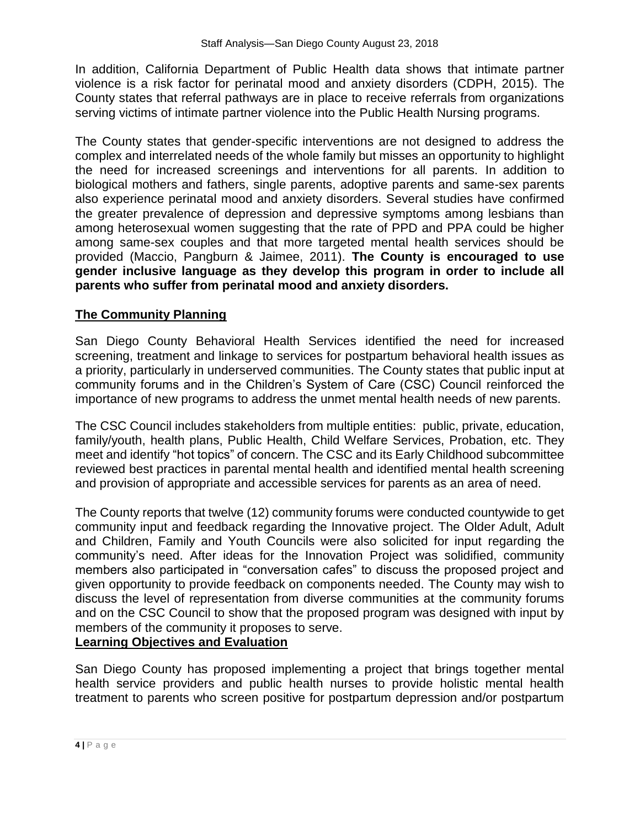In addition, California Department of Public Health data shows that intimate partner violence is a risk factor for perinatal mood and anxiety disorders (CDPH, 2015). The County states that referral pathways are in place to receive referrals from organizations serving victims of intimate partner violence into the Public Health Nursing programs.

The County states that gender-specific interventions are not designed to address the complex and interrelated needs of the whole family but misses an opportunity to highlight the need for increased screenings and interventions for all parents. In addition to biological mothers and fathers, single parents, adoptive parents and same-sex parents also experience perinatal mood and anxiety disorders. Several studies have confirmed the greater prevalence of depression and depressive symptoms among lesbians than among heterosexual women suggesting that the rate of PPD and PPA could be higher among same-sex couples and that more targeted mental health services should be provided (Maccio, Pangburn & Jaimee, 2011). **The County is encouraged to use gender inclusive language as they develop this program in order to include all parents who suffer from perinatal mood and anxiety disorders.**

## **The Community Planning**

San Diego County Behavioral Health Services identified the need for increased screening, treatment and linkage to services for postpartum behavioral health issues as a priority, particularly in underserved communities. The County states that public input at community forums and in the Children's System of Care (CSC) Council reinforced the importance of new programs to address the unmet mental health needs of new parents.

The CSC Council includes stakeholders from multiple entities: public, private, education, family/youth, health plans, Public Health, Child Welfare Services, Probation, etc. They meet and identify "hot topics" of concern. The CSC and its Early Childhood subcommittee reviewed best practices in parental mental health and identified mental health screening and provision of appropriate and accessible services for parents as an area of need.

The County reports that twelve (12) community forums were conducted countywide to get community input and feedback regarding the Innovative project. The Older Adult, Adult and Children, Family and Youth Councils were also solicited for input regarding the community's need. After ideas for the Innovation Project was solidified, community members also participated in "conversation cafes" to discuss the proposed project and given opportunity to provide feedback on components needed. The County may wish to discuss the level of representation from diverse communities at the community forums and on the CSC Council to show that the proposed program was designed with input by members of the community it proposes to serve.

## **Learning Objectives and Evaluation**

San Diego County has proposed implementing a project that brings together mental health service providers and public health nurses to provide holistic mental health treatment to parents who screen positive for postpartum depression and/or postpartum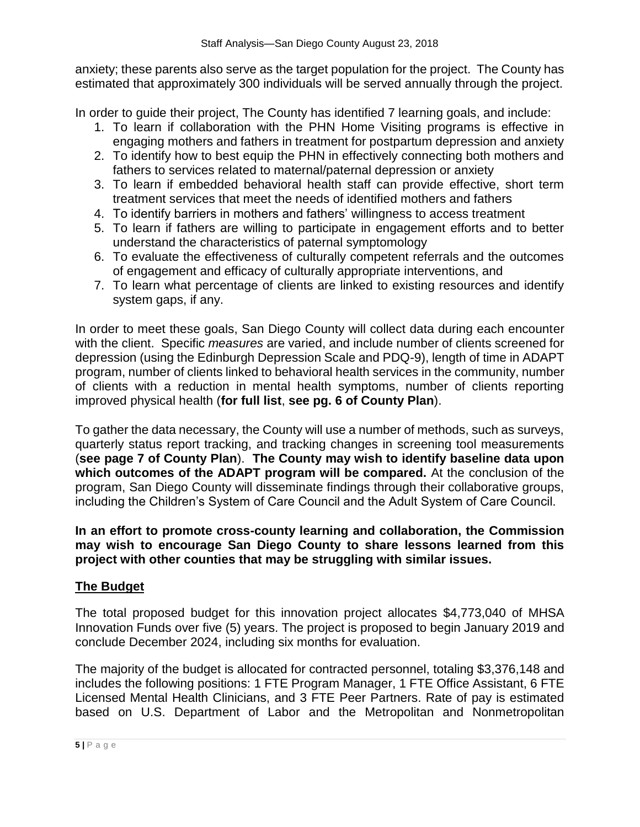anxiety; these parents also serve as the target population for the project. The County has estimated that approximately 300 individuals will be served annually through the project.

In order to guide their project, The County has identified 7 learning goals, and include:

- 1. To learn if collaboration with the PHN Home Visiting programs is effective in engaging mothers and fathers in treatment for postpartum depression and anxiety
- 2. To identify how to best equip the PHN in effectively connecting both mothers and fathers to services related to maternal/paternal depression or anxiety
- 3. To learn if embedded behavioral health staff can provide effective, short term treatment services that meet the needs of identified mothers and fathers
- 4. To identify barriers in mothers and fathers' willingness to access treatment
- 5. To learn if fathers are willing to participate in engagement efforts and to better understand the characteristics of paternal symptomology
- 6. To evaluate the effectiveness of culturally competent referrals and the outcomes of engagement and efficacy of culturally appropriate interventions, and
- 7. To learn what percentage of clients are linked to existing resources and identify system gaps, if any.

In order to meet these goals, San Diego County will collect data during each encounter with the client. Specific *measures* are varied, and include number of clients screened for depression (using the Edinburgh Depression Scale and PDQ-9), length of time in ADAPT program, number of clients linked to behavioral health services in the community, number of clients with a reduction in mental health symptoms, number of clients reporting improved physical health (**for full list**, **see pg. 6 of County Plan**).

To gather the data necessary, the County will use a number of methods, such as surveys, quarterly status report tracking, and tracking changes in screening tool measurements (**see page 7 of County Plan**). **The County may wish to identify baseline data upon which outcomes of the ADAPT program will be compared.** At the conclusion of the program, San Diego County will disseminate findings through their collaborative groups, including the Children's System of Care Council and the Adult System of Care Council.

**In an effort to promote cross-county learning and collaboration, the Commission may wish to encourage San Diego County to share lessons learned from this project with other counties that may be struggling with similar issues.**

## **The Budget**

The total proposed budget for this innovation project allocates \$4,773,040 of MHSA Innovation Funds over five (5) years. The project is proposed to begin January 2019 and conclude December 2024, including six months for evaluation.

The majority of the budget is allocated for contracted personnel, totaling \$3,376,148 and includes the following positions: 1 FTE Program Manager, 1 FTE Office Assistant, 6 FTE Licensed Mental Health Clinicians, and 3 FTE Peer Partners. Rate of pay is estimated based on U.S. Department of Labor and the Metropolitan and Nonmetropolitan